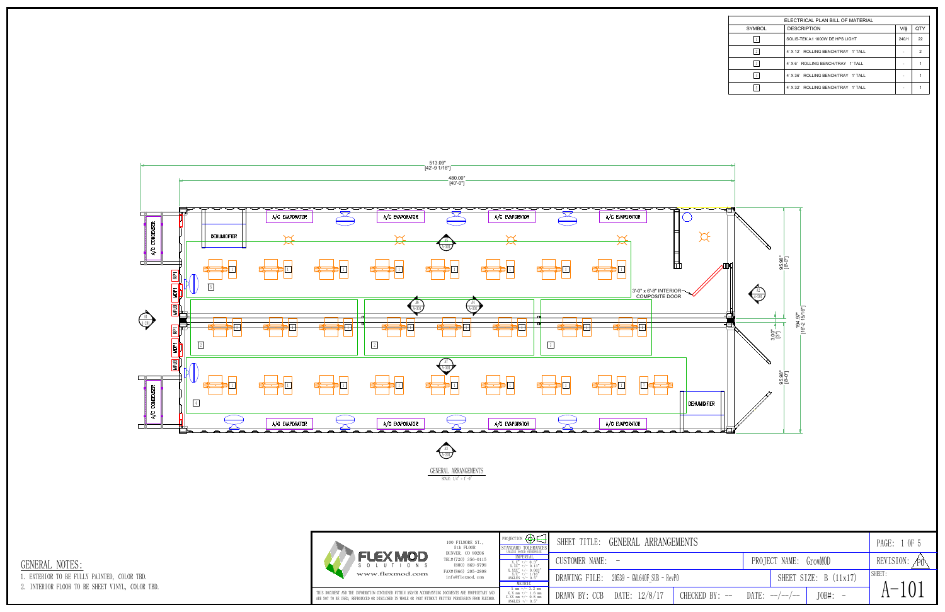| ELECTRICAL PLAN BILL OF MATERIAL |                                     |       |               |  |  |  |  |  |  |
|----------------------------------|-------------------------------------|-------|---------------|--|--|--|--|--|--|
| SYMBOL                           | <b>DESCRIPTION</b>                  | V/ф   | QTY           |  |  |  |  |  |  |
|                                  | SOLIS-TEK A1 1000W DE HPS LIGHT     | 240/1 | 22            |  |  |  |  |  |  |
|                                  | 4' X 12' ROLLING BENCH/TRAY 1' TALL | ۰     | $\mathcal{D}$ |  |  |  |  |  |  |
|                                  | 4' X 6' ROLLING BENCH/TRAY 1' TALL  | ۰     |               |  |  |  |  |  |  |
|                                  | 4' X 36' ROLLING BENCH/TRAY 1' TALL | ۰     |               |  |  |  |  |  |  |
|                                  | 4' X 32' ROLLING BENCH/TRAY 1' TALL | ۰     |               |  |  |  |  |  |  |

| PROJECTION $\bigoplus \in$                                                                                                                                                                                                                                                                                                                                                                                                                   | SHEET TITLE:     | GENERAL ARRANGEMENTS                      |       |                            | 1 OF 5<br>PAGE:       |  |  |
|----------------------------------------------------------------------------------------------------------------------------------------------------------------------------------------------------------------------------------------------------------------------------------------------------------------------------------------------------------------------------------------------------------------------------------------------|------------------|-------------------------------------------|-------|----------------------------|-----------------------|--|--|
| $\begin{tabular}{ c   c} \multicolumn{2}{c}{\textbf{STANDARD TOLERANCES}} \\ \hline \multicolumn{2}{c}{\textbf{UTED TILERANCES}} \\ \multicolumn{2}{c}{\textbf{IMLES NOTFID TIMEMISES}} \\ \multicolumn{2}{c}{X.X^* \ +/-\ 0.13''} \\ \multicolumn{2}{c}{X.X^* \ +/-\ 0.03''} \\ \multicolumn{2}{c}{X.X^* \ +/-\ 0.03''} \\ \multicolumn{2}{c}{X.X^* \ +/-\ 0.03''} \\ \multicolumn{2}{c}{X/X^* \ +/-\ 0.03''} \\ \multicolumn{2}{c}{ANCLES$ | CUSTOMER NAME: - |                                           |       | PROJECT NAME: GrowMOD      | REVISION: $\sqrt{PQ}$ |  |  |
| METRIC                                                                                                                                                                                                                                                                                                                                                                                                                                       |                  | DRAWING FILE: 20539 - GM1640F SUB - RevPO |       | SHEET SIZE: B (11x17)      | SHEET.                |  |  |
| $\begin{tabular}{ c   c} $X$ mm +/- 3.2 mm \\ $X$ , $X$ mm +/- 1.6 mm \\ $X$ , $X$ mm +/- 0.8 mm \\ $ANGLES +/- 0.5^{\circ}$ \\ \end{tabular}$                                                                                                                                                                                                                                                                                               | DRAWN BY: CCB    | DATE: 12/8/17<br>CHECKED BY: --           | DATE: | $JOB#: -$<br>$---/---/---$ | 101<br>$\mathbf{v}$   |  |  |





1. EXTERIOR TO BE FULLY PAINTED, COLOR TBD.

2. INTERIOR FLOOR TO BE SHEET VINYL, COLOR TBD.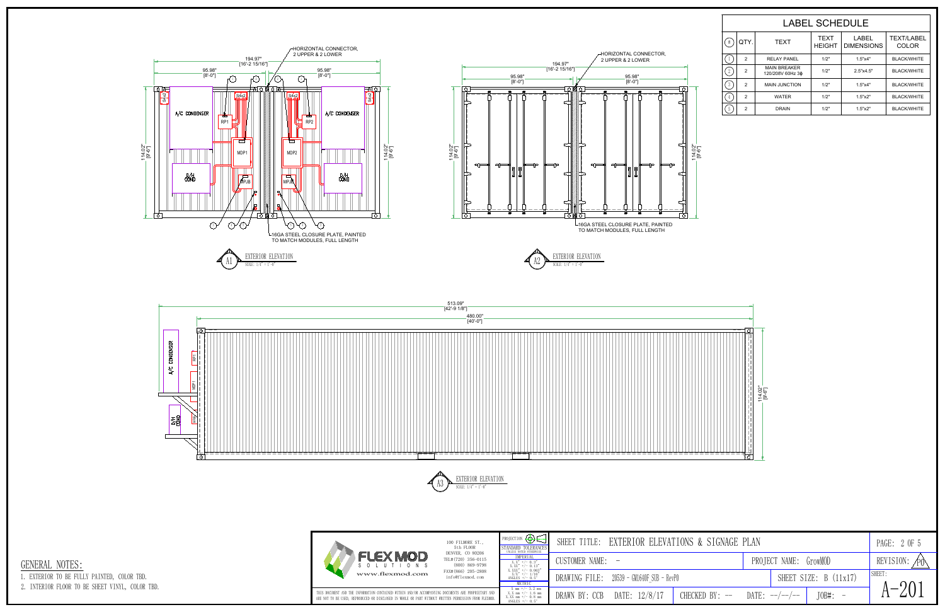

|                  |                |                                         | <b>LABEL SCHEDULE</b>        |                                   |                                   |
|------------------|----------------|-----------------------------------------|------------------------------|-----------------------------------|-----------------------------------|
| $\sharp$         | QTY.           | <b>TEXT</b>                             | <b>TEXT</b><br><b>HEIGHT</b> | <b>LABEL</b><br><b>DIMENSIONS</b> | <b>TEXT/LABEL</b><br><b>COLOR</b> |
|                  | $\overline{2}$ | <b>RELAY PANEL</b>                      | 1/2"                         | 1.5"x4"                           | <b>BLACK/WHITE</b>                |
| $^{\circ}$<br>-4 | $\overline{2}$ | <b>MAIN BREAKER</b><br>120/208V 60Hz 3¢ | 1/2"                         | 2.5"x4.5"                         | <b>BLACK/WHITE</b>                |
| $\sqrt{3}$       | $\overline{2}$ | <b>MAIN JUNCTION</b>                    | 1/2"                         | 1.5"x4"                           | <b>BLACK/WHITE</b>                |
|                  | $\overline{2}$ | <b>WATER</b>                            | 1/2"                         | 1.5"x2"                           | <b>BLACK/WHITE</b>                |
| $\sqrt{5}$       | $\overline{2}$ | <b>DRAIN</b>                            | 1/2"                         | 1.5"x2"                           | <b>BLACK/WHITE</b>                |



| PROJECTION $\bigoplus$ $\in$                                                                                                                                                                                                                                                                                                                                                                                                                           | EXTERIOR ELEVATIONS & SIGNAGE PLAN<br>TITLE:<br>SHEET |       |                            | PAGE: 2 OF 5             |  |
|--------------------------------------------------------------------------------------------------------------------------------------------------------------------------------------------------------------------------------------------------------------------------------------------------------------------------------------------------------------------------------------------------------------------------------------------------------|-------------------------------------------------------|-------|----------------------------|--------------------------|--|
|                                                                                                                                                                                                                                                                                                                                                                                                                                                        |                                                       |       |                            |                          |  |
|                                                                                                                                                                                                                                                                                                                                                                                                                                                        |                                                       |       |                            |                          |  |
|                                                                                                                                                                                                                                                                                                                                                                                                                                                        | CUSTOMER NAME: -                                      |       | PROJECT NAME: GrowMOD      | REVISION:<br>$\angle P0$ |  |
| $\begin{tabular}{rl} \multicolumn{2}{l}{{\small\bf STANDARD TOLERANCES} \\ \hline UNLES& nonD. UERANCES \\ \hline & $MPERN. \\ $X$ & $\star$ & $\star$ & $-\ 0$ \\ $X$ & $X$ & $\star$ & $-\ 0$ \\ $X$ & $X$ & $\star$ & $\star$ & $-\ 0$ \\ $X$ & $X$ & $\star$ & $\star$ & $-\ 1$ \\ $X$ & $X$ & $\star$ & $\star$ & $-\ 1$ \\ $X$ & $X$ & $\star$ & $\star$ & $-\ 1$ \\ $MCLES & $\star$ & $-\ 1$ & $-\ 1$ \\ \hline & $MCLES & $\star$ & $-\ 0$ &$ | DRAWING FILE: 20539 - GM1640F SUB - RevPO             |       | SHEET SIZE: B (11x17)      | <b>SHEET</b>             |  |
|                                                                                                                                                                                                                                                                                                                                                                                                                                                        |                                                       |       |                            |                          |  |
| $\begin{array}{c} \textrm{X} \hspace{0.2cm} \textrm{mm} \hspace{0.2cm} +/- \hspace{0.2cm} 3.2 \hspace{0.2cm} \textrm{mm} \\ \textrm{X. X} \hspace{0.2cm} \textrm{mm} \hspace{0.2cm} +/- \hspace{0.2cm} 1.6 \hspace{0.2cm} \textrm{mm} \\ \textrm{X. XX} \hspace{0.2cm} \textrm{mm} \hspace{0.2cm} +/- \hspace{0.2cm} 0.8 \hspace{0.2cm} \textrm{mm} \\ \textrm{ANGLES} \hspace{0.2$                                                                    | DATE: 12/8/17<br>DRAWN BY: CCB<br>$CHECKED BY:$ $-$   | DATE: | $JOB#: -$<br>$---/---/---$ | 201<br>$\Delta$ $-$      |  |





1. EXTERIOR TO BE FULLY PAINTED, COLOR TBD.

2. INTERIOR FLOOR TO BE SHEET VINYL, COLOR TBD.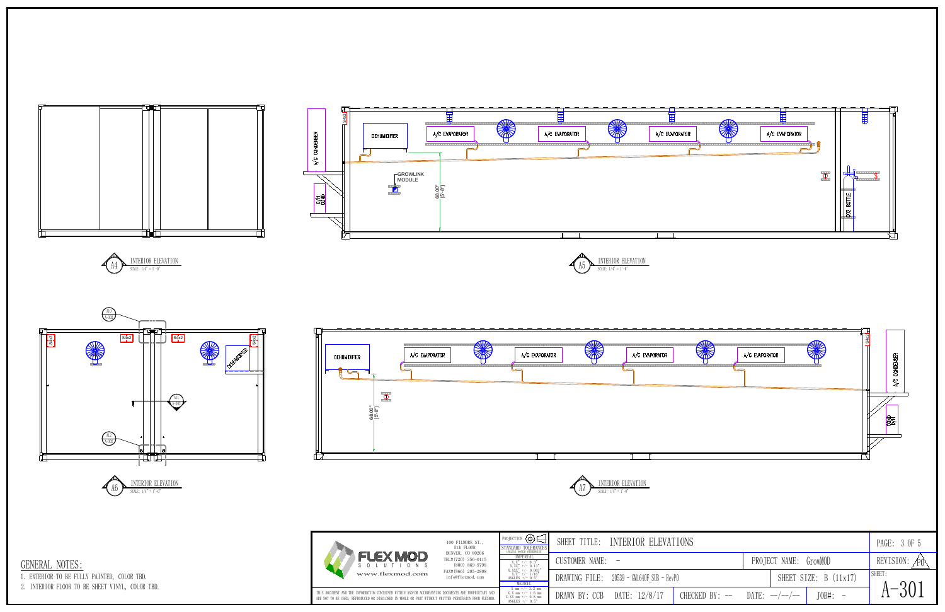















1. EXTERIOR TO BE FULLY PAINTED, COLOR TBD.

2. INTERIOR FLOOR TO BE SHEET VINYL, COLOR TBD.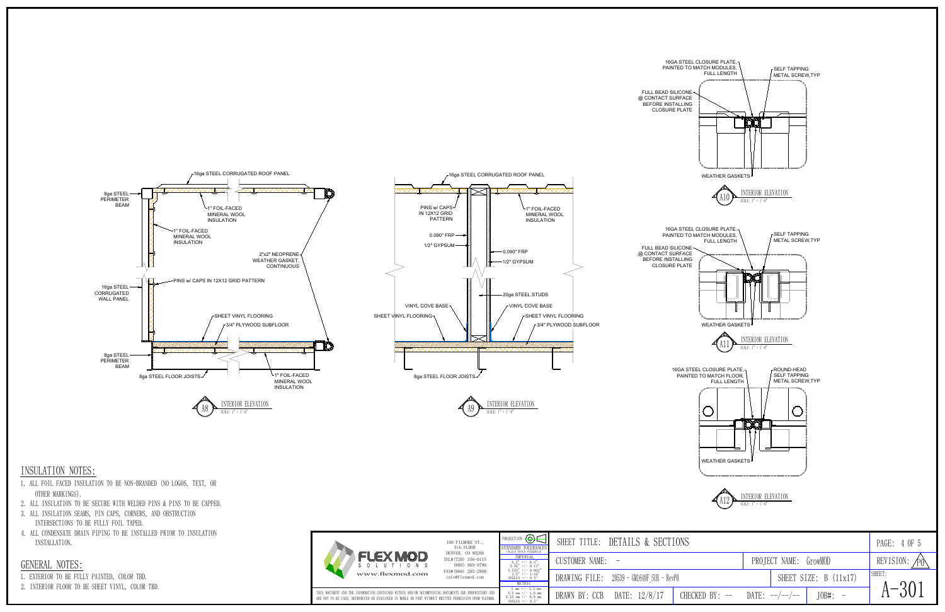





- 1. EXTERIOR TO BE FULLY PAINTED, COLOR TBD.
- 2. INTERIOR FLOOR TO BE SHEET VINYL, COLOR TBD.

## INSULATION NOTES:

- 1. ALL FOIL FACED INSULATION TO BE NON-BRANDED (NO LOGOS, TEXT, OR OTHER MARKINGS).
- 2. ALL INSULATION TO BE SECURE WITH WELDED PINS & PINS TO BE CAPPED.
- 3. ALL INSULATION SEAMS, PIN CAPS, CORNERS, AND OBSTRUCTION INTERSECTIONS TO BE FULLY FOIL TAPED.
- 4. ALL CONDENSATE DRAIN PIPING TO BE INSTALLED PRIOR TO INSULATION INSTALLATION.